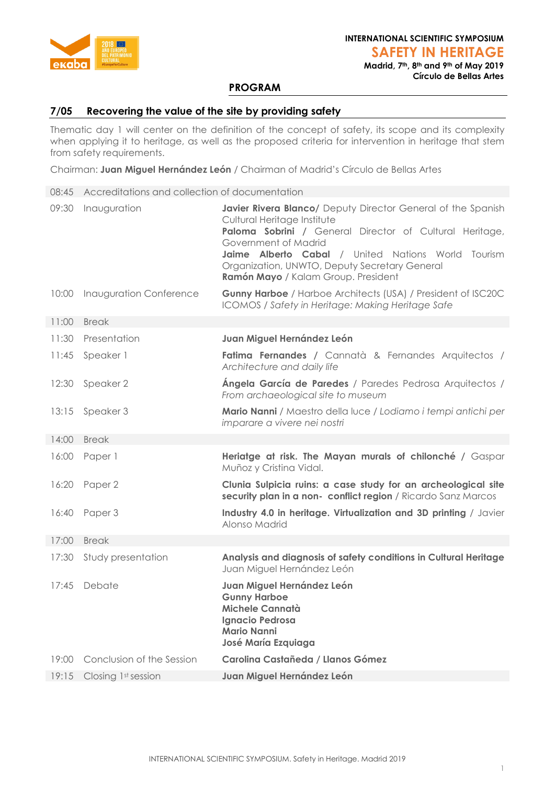

**Madrid, 7th, 8th and 9th of May 2019 Círculo de Bellas Artes**

# **PROGRAM**

### **7/05 Recovering the value of the site by providing safety**

Thematic day 1 will center on the definition of the concept of safety, its scope and its complexity when applying it to heritage, as well as the proposed criteria for intervention in heritage that stem from safety requirements.

Chairman: **Juan Miguel Hernández León** / Chairman of Madrid's Círculo de Bellas Artes

| 08:45 | Accreditations and collection of documentation |                                                                                                                                                                                                                                                                                                                                    |
|-------|------------------------------------------------|------------------------------------------------------------------------------------------------------------------------------------------------------------------------------------------------------------------------------------------------------------------------------------------------------------------------------------|
| 09:30 | Inauguration                                   | Javier Rivera Blanco/ Deputy Director General of the Spanish<br>Cultural Heritage Institute<br>Paloma Sobrini / General Director of Cultural Heritage,<br>Government of Madrid<br>Jaime Alberto Cabal<br>/ United Nations World<br>Tourism<br>Organization, UNWTO, Deputy Secretary General<br>Ramón Mayo / Kalam Group. President |
| 10:00 | <b>Inauguration Conference</b>                 | <b>Gunny Harboe</b> / Harboe Architects (USA) / President of ISC20C<br>ICOMOS / Safety in Heritage: Making Heritage Safe                                                                                                                                                                                                           |
| 11:00 | <b>Break</b>                                   |                                                                                                                                                                                                                                                                                                                                    |
| 11:30 | Presentation                                   | Juan Miguel Hernández León                                                                                                                                                                                                                                                                                                         |
| 11:45 | Speaker 1                                      | Fatima Fernandes / Cannatà & Fernandes Arquitectos /<br>Architecture and daily life                                                                                                                                                                                                                                                |
| 12:30 | Speaker 2                                      | Ángela García de Paredes / Paredes Pedrosa Arquitectos /<br>From archaeological site to museum                                                                                                                                                                                                                                     |
| 13:15 | Speaker 3                                      | Mario Nanni / Maestro della luce / Lodiamo i tempi antichi per<br>imparare a vivere nei nostri                                                                                                                                                                                                                                     |
| 14:00 | <b>Break</b>                                   |                                                                                                                                                                                                                                                                                                                                    |
| 16:00 | Paper 1                                        | Heriatge at risk. The Mayan murals of chilonché / Gaspar<br>Muñoz y Cristina Vidal.                                                                                                                                                                                                                                                |
|       | 16:20 Paper 2                                  | Clunia Sulpicia ruins: a case study for an archeological site<br>security plan in a non- conflict region / Ricardo Sanz Marcos                                                                                                                                                                                                     |
| 16:40 | Paper 3                                        | Industry 4.0 in heritage. Virtualization and 3D printing / Javier<br>Alonso Madrid                                                                                                                                                                                                                                                 |
| 17:00 | <b>Break</b>                                   |                                                                                                                                                                                                                                                                                                                                    |
| 17:30 | Study presentation                             | Analysis and diagnosis of safety conditions in Cultural Heritage<br>Juan Miguel Hernández León                                                                                                                                                                                                                                     |
| 17:45 | Debate                                         | Juan Miguel Hernández León<br><b>Gunny Harboe</b><br>Michele Cannatà<br>Ignacio Pedrosa<br><b>Mario Nanni</b><br>José María Ezquiaga                                                                                                                                                                                               |
| 19:00 | Conclusion of the Session                      | Carolina Castañeda / Llanos Gómez                                                                                                                                                                                                                                                                                                  |
| 19:15 | Closing 1st session                            | Juan Miguel Hernández León                                                                                                                                                                                                                                                                                                         |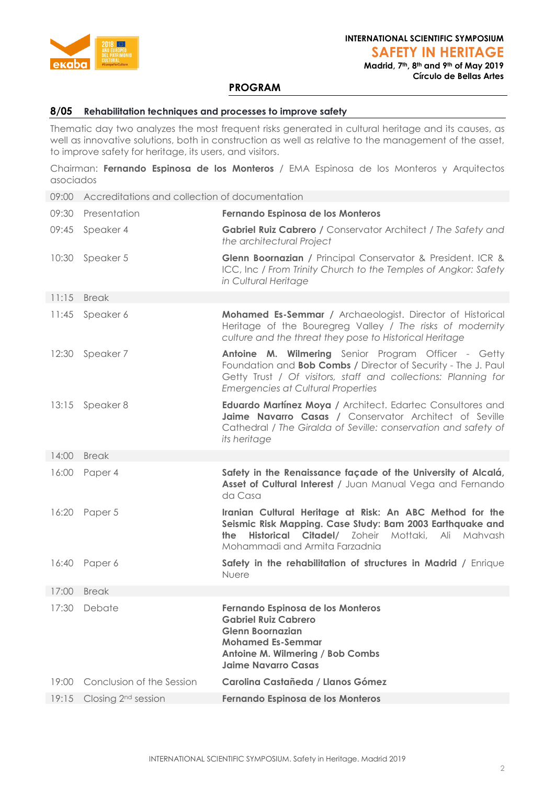

**Madrid, 7th, 8th and 9th of May 2019 Círculo de Bellas Artes**

## **PROGRAM**

#### **8/05 Rehabilitation techniques and processes to improve safety**

Thematic day two analyzes the most frequent risks generated in cultural heritage and its causes, as well as innovative solutions, both in construction as well as relative to the management of the asset, to improve safety for heritage, its users, and visitors.

Chairman: **Fernando Espinosa de los Monteros** / EMA Espinosa de los Monteros y Arquitectos asociados

09:00 Accreditations and collection of documentation

|       | 09:30 Presentation              | Fernando Espinosa de los Monteros                                                                                                                                                                                                          |
|-------|---------------------------------|--------------------------------------------------------------------------------------------------------------------------------------------------------------------------------------------------------------------------------------------|
|       | 09:45 Speaker 4                 | Gabriel Ruiz Cabrero / Conservator Architect / The Safety and<br>the architectural Project                                                                                                                                                 |
|       | 10:30 Speaker 5                 | Glenn Boornazian / Principal Conservator & President. ICR &<br>ICC, Inc / From Trinity Church to the Temples of Angkor: Safety<br>in Cultural Heritage                                                                                     |
| 11:15 | <b>Break</b>                    |                                                                                                                                                                                                                                            |
|       | 11:45 Speaker 6                 | Mohamed Es-Semmar / Archaeologist. Director of Historical<br>Heritage of the Bouregreg Valley / The risks of modernity<br>culture and the threat they pose to Historical Heritage                                                          |
| 12:30 | Speaker 7                       | Antoine M. Wilmering Senior Program Officer - Getty<br>Foundation and <b>Bob Combs</b> / Director of Security - The J. Paul<br>Getty Trust / Of visitors, staff and collections: Planning for<br><b>Emergencies at Cultural Properties</b> |
|       | 13:15 Speaker 8                 | <b>Eduardo Martínez Moya / Architect. Edartec Consultores and</b><br>Jaime Navarro Casas / Conservator Architect of Seville<br>Cathedral / The Giralda of Seville: conservation and safety of<br>its heritage                              |
| 14:00 | <b>Break</b>                    |                                                                                                                                                                                                                                            |
|       | 16:00 Paper 4                   | Safety in the Renaissance façade of the University of Alcalá,<br>Asset of Cultural Interest / Juan Manual Vega and Fernando<br>da Casa                                                                                                     |
| 16:20 | Paper 5                         | Iranian Cultural Heritage at Risk: An ABC Method for the<br>Seismic Risk Mapping. Case Study: Bam 2003 Earthquake and<br>Historical Citadel/ Zoheir Mottaki, Ali Mahvash<br>the<br>Mohammadi and Armita Farzadnia                          |
|       | 16:40 Paper 6                   | Safety in the rehabilitation of structures in Madrid / Enrique<br>Nuere                                                                                                                                                                    |
| 17:00 | <b>Break</b>                    |                                                                                                                                                                                                                                            |
| 17:30 | Debate                          | Fernando Espinosa de los Monteros<br><b>Gabriel Ruiz Cabrero</b><br><b>Glenn Boornazian</b><br><b>Mohamed Es-Semmar</b><br>Antoine M. Wilmering / Bob Combs<br><b>Jaime Navarro Casas</b>                                                  |
| 19:00 | Conclusion of the Session       | <b>Carolina Castañeda / Llanos Gómez</b>                                                                                                                                                                                                   |
| 19:15 | Closing 2 <sup>nd</sup> session | Fernando Espinosa de los Monteros                                                                                                                                                                                                          |